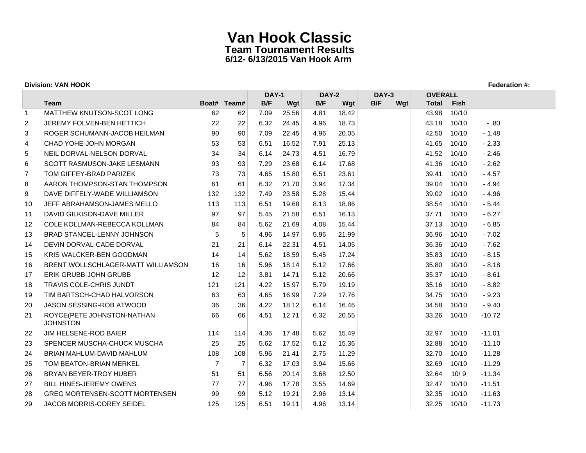| <b>Division: VAN HOOK</b><br>Federation #: |                                               |                |                |              |       |              |       |              |     |                |       |          |
|--------------------------------------------|-----------------------------------------------|----------------|----------------|--------------|-------|--------------|-------|--------------|-----|----------------|-------|----------|
|                                            |                                               |                |                | <b>DAY-1</b> |       | <b>DAY-2</b> |       | <b>DAY-3</b> |     | <b>OVERALL</b> |       |          |
|                                            | <b>Team</b>                                   |                | Boat# Team#    | B/F          | Wgt   | B/F          | Wgt   | B/F          | Wgt | <b>Total</b>   | Fish  |          |
| $\mathbf 1$                                | MATTHEW KNUTSON-SCOT LONG                     | 62             | 62             | 7.09         | 25.56 | 4.81         | 18.42 |              |     | 43.98          | 10/10 |          |
| $\overline{2}$                             | JEREMY FOLVEN-BEN HETTICH                     | 22             | 22             | 6.32         | 24.45 | 4.96         | 18.73 |              |     | 43.18          | 10/10 | $-.80$   |
| 3                                          | ROGER SCHUMANN-JACOB HEILMAN                  | 90             | 90             | 7.09         | 22.45 | 4.96         | 20.05 |              |     | 42.50          | 10/10 | $-1.48$  |
| 4                                          | CHAD YOHE-JOHN MORGAN                         | 53             | 53             | 6.51         | 16.52 | 7.91         | 25.13 |              |     | 41.65          | 10/10 | $-2.33$  |
| 5                                          | NEIL DORVAL-NELSON DORVAL                     | 34             | 34             | 6.14         | 24.73 | 4.51         | 16.79 |              |     | 41.52          | 10/10 | $-2.46$  |
| 6                                          | SCOTT RASMUSON-JAKE LESMANN                   | 93             | 93             | 7.29         | 23.68 | 6.14         | 17.68 |              |     | 41.36          | 10/10 | $-2.62$  |
| $\overline{7}$                             | TOM GIFFEY-BRAD PARIZEK                       | 73             | 73             | 4.65         | 15.80 | 6.51         | 23.61 |              |     | 39.41          | 10/10 | $-4.57$  |
| 8                                          | AARON THOMPSON-STAN THOMPSON                  | 61             | 61             | 6.32         | 21.70 | 3.94         | 17.34 |              |     | 39.04          | 10/10 | $-4.94$  |
| 9                                          | DAVE DIFFELY-WADE WILLIAMSON                  | 132            | 132            | 7.49         | 23.58 | 5.28         | 15.44 |              |     | 39.02          | 10/10 | $-4.96$  |
| 10                                         | JEFF ABRAHAMSON-JAMES MELLO                   | 113            | 113            | 6.51         | 19.68 | 8.13         | 18.86 |              |     | 38.54          | 10/10 | $-5.44$  |
| 11                                         | DAVID GILKISON-DAVE MILLER                    | 97             | 97             | 5.45         | 21.58 | 6.51         | 16.13 |              |     | 37.71          | 10/10 | $-6.27$  |
| 12                                         | COLE KOLLMAN-REBECCA KOLLMAN                  | 84             | 84             | 5.62         | 21.69 | 4.08         | 15.44 |              |     | 37.13          | 10/10 | $-6.85$  |
| 13                                         | <b>BRAD STANCEL-LENNY JOHNSON</b>             | 5              | 5              | 4.96         | 14.97 | 5.96         | 21.99 |              |     | 36.96          | 10/10 | $-7.02$  |
| 14                                         | DEVIN DORVAL-CADE DORVAL                      | 21             | 21             | 6.14         | 22.31 | 4.51         | 14.05 |              |     | 36.36          | 10/10 | $-7.62$  |
| 15                                         | <b>KRIS WALCKER-BEN GOODMAN</b>               | 14             | 14             | 5.62         | 18.59 | 5.45         | 17.24 |              |     | 35.83          | 10/10 | $-8.15$  |
| 16                                         | BRENT WOLLSCHLAGER-MATT WILLIAMSON            | 16             | 16             | 5.96         | 18.14 | 5.12         | 17.66 |              |     | 35.80          | 10/10 | $-8.18$  |
| 17                                         | <b>ERIK GRUBB-JOHN GRUBB</b>                  | 12             | 12             | 3.81         | 14.71 | 5.12         | 20.66 |              |     | 35.37          | 10/10 | $-8.61$  |
| 18                                         | <b>TRAVIS COLE-CHRIS JUNDT</b>                | 121            | 121            | 4.22         | 15.97 | 5.79         | 19.19 |              |     | 35.16          | 10/10 | $-8.82$  |
| 19                                         | TIM BARTSCH-CHAD HALVORSON                    | 63             | 63             | 4.65         | 16.99 | 7.29         | 17.76 |              |     | 34.75          | 10/10 | $-9.23$  |
| 20                                         | JASON SESSING-ROB ATWOOD                      | 36             | 36             | 4.22         | 18.12 | 6.14         | 16.46 |              |     | 34.58          | 10/10 | $-9.40$  |
| 21                                         | ROYCE(PETE JOHNSTON-NATHAN<br><b>JOHNSTON</b> | 66             | 66             | 4.51         | 12.71 | 6.32         | 20.55 |              |     | 33.26          | 10/10 | $-10.72$ |
| 22                                         | <b>JIM HELSENE-ROD BAIER</b>                  | 114            | 114            | 4.36         | 17.48 | 5.62         | 15.49 |              |     | 32.97          | 10/10 | $-11.01$ |
| 23                                         | SPENCER MUSCHA-CHUCK MUSCHA                   | 25             | 25             | 5.62         | 17.52 | 5.12         | 15.36 |              |     | 32.88          | 10/10 | $-11.10$ |
| 24                                         | BRIAN MAHLUM-DAVID MAHLUM                     | 108            | 108            | 5.96         | 21.41 | 2.75         | 11.29 |              |     | 32.70          | 10/10 | $-11.28$ |
| 25                                         | TOM BEATON-BRIAN MERKEL                       | $\overline{7}$ | $\overline{7}$ | 6.32         | 17.03 | 3.94         | 15.66 |              |     | 32.69          | 10/10 | $-11.29$ |
| 26                                         | BRYAN BEYER-TROY HUBER                        | 51             | 51             | 6.56         | 20.14 | 3.68         | 12.50 |              |     | 32.64          | 10/9  | $-11.34$ |
| 27                                         | BILL HINES-JEREMY OWENS                       | 77             | 77             | 4.96         | 17.78 | 3.55         | 14.69 |              |     | 32.47          | 10/10 | $-11.51$ |
| 28                                         | <b>GREG MORTENSEN-SCOTT MORTENSEN</b>         | 99             | 99             | 5.12         | 19.21 | 2.96         | 13.14 |              |     | 32.35          | 10/10 | $-11.63$ |
| 29                                         | JACOB MORRIS-COREY SEIDEL                     | 125            | 125            | 6.51         | 19.11 | 4.96         | 13.14 |              |     | 32.25          | 10/10 | $-11.73$ |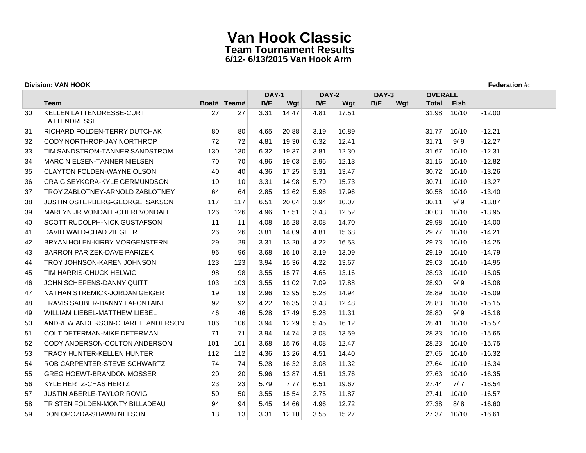## **Division: VAN HOOK Federation #:**

|    |                                                        |     |             | <b>DAY-1</b> |       | <b>DAY-2</b> |       | <b>DAY-3</b> | <b>OVERALL</b> |             |          |
|----|--------------------------------------------------------|-----|-------------|--------------|-------|--------------|-------|--------------|----------------|-------------|----------|
|    | Team                                                   |     | Boat# Team# | B/F          | Wgt   | B/F          | Wgt   | B/F<br>Wgt   | <b>Total</b>   | <b>Fish</b> |          |
| 30 | <b>KELLEN LATTENDRESSE-CURT</b><br><b>LATTENDRESSE</b> | 27  | 27          | 3.31         | 14.47 | 4.81         | 17.51 |              | 31.98          | 10/10       | $-12.00$ |
| 31 | RICHARD FOLDEN-TERRY DUTCHAK                           | 80  | 80          | 4.65         | 20.88 | 3.19         | 10.89 |              | 31.77          | 10/10       | $-12.21$ |
| 32 | CODY NORTHROP-JAY NORTHROP                             | 72  | 72          | 4.81         | 19.30 | 6.32         | 12.41 |              | 31.71          | 9/9         | $-12.27$ |
| 33 | TIM SANDSTROM-TANNER SANDSTROM                         | 130 | 130         | 6.32         | 19.37 | 3.81         | 12.30 |              | 31.67          | 10/10       | $-12.31$ |
| 34 | MARC NIELSEN-TANNER NIELSEN                            | 70  | 70          | 4.96         | 19.03 | 2.96         | 12.13 |              | 31.16          | 10/10       | $-12.82$ |
| 35 | <b>CLAYTON FOLDEN-WAYNE OLSON</b>                      | 40  | 40          | 4.36         | 17.25 | 3.31         | 13.47 |              | 30.72          | 10/10       | $-13.26$ |
| 36 | <b>CRAIG SEYKORA-KYLE GERMUNDSON</b>                   | 10  | 10          | 3.31         | 14.98 | 5.79         | 15.73 |              | 30.71          | 10/10       | $-13.27$ |
| 37 | TROY ZABLOTNEY-ARNOLD ZABLOTNEY                        | 64  | 64          | 2.85         | 12.62 | 5.96         | 17.96 |              | 30.58          | 10/10       | $-13.40$ |
| 38 | <b>JUSTIN OSTERBERG-GEORGE ISAKSON</b>                 | 117 | 117         | 6.51         | 20.04 | 3.94         | 10.07 |              | 30.11          | 9/9         | $-13.87$ |
| 39 | MARLYN JR VONDALL-CHERI VONDALL                        | 126 | 126         | 4.96         | 17.51 | 3.43         | 12.52 |              | 30.03          | 10/10       | $-13.95$ |
| 40 | <b>SCOTT RUDOLPH-NICK GUSTAFSON</b>                    | 11  | 11          | 4.08         | 15.28 | 3.08         | 14.70 |              | 29.98          | 10/10       | $-14.00$ |
| 41 | DAVID WALD-CHAD ZIEGLER                                | 26  | 26          | 3.81         | 14.09 | 4.81         | 15.68 |              | 29.77          | 10/10       | $-14.21$ |
| 42 | BRYAN HOLEN-KIRBY MORGENSTERN                          | 29  | 29          | 3.31         | 13.20 | 4.22         | 16.53 |              | 29.73          | 10/10       | $-14.25$ |
| 43 | BARRON PARIZEK-DAVE PARIZEK                            | 96  | 96          | 3.68         | 16.10 | 3.19         | 13.09 |              | 29.19          | 10/10       | $-14.79$ |
| 44 | TROY JOHNSON-KAREN JOHNSON                             | 123 | 123         | 3.94         | 15.36 | 4.22         | 13.67 |              | 29.03          | 10/10       | $-14.95$ |
| 45 | TIM HARRIS-CHUCK HELWIG                                | 98  | 98          | 3.55         | 15.77 | 4.65         | 13.16 |              | 28.93          | 10/10       | $-15.05$ |
| 46 | JOHN SCHEPENS-DANNY QUITT                              | 103 | 103         | 3.55         | 11.02 | 7.09         | 17.88 |              | 28.90          | 9/9         | $-15.08$ |
| 47 | NATHAN STREMICK-JORDAN GEIGER                          | 19  | 19          | 2.96         | 13.95 | 5.28         | 14.94 |              | 28.89          | 10/10       | $-15.09$ |
| 48 | <b>TRAVIS SAUBER-DANNY LAFONTAINE</b>                  | 92  | 92          | 4.22         | 16.35 | 3.43         | 12.48 |              | 28.83          | 10/10       | $-15.15$ |
| 49 | WILLIAM LIEBEL-MATTHEW LIEBEL                          | 46  | 46          | 5.28         | 17.49 | 5.28         | 11.31 |              | 28.80          | 9/9         | $-15.18$ |
| 50 | ANDREW ANDERSON-CHARLIE ANDERSON                       | 106 | 106         | 3.94         | 12.29 | 5.45         | 16.12 |              | 28.41          | 10/10       | $-15.57$ |
| 51 | <b>COLT DETERMAN-MIKE DETERMAN</b>                     | 71  | 71          | 3.94         | 14.74 | 3.08         | 13.59 |              | 28.33          | 10/10       | $-15.65$ |
| 52 | CODY ANDERSON-COLTON ANDERSON                          | 101 | 101         | 3.68         | 15.76 | 4.08         | 12.47 |              | 28.23          | 10/10       | $-15.75$ |
| 53 | <b>TRACY HUNTER-KELLEN HUNTER</b>                      | 112 | 112         | 4.36         | 13.26 | 4.51         | 14.40 |              | 27.66          | 10/10       | $-16.32$ |
| 54 | ROB CARPENTER-STEVE SCHWARTZ                           | 74  | 74          | 5.28         | 16.32 | 3.08         | 11.32 |              | 27.64          | 10/10       | $-16.34$ |
| 55 | <b>GREG HOEWT-BRANDON MOSSER</b>                       | 20  | 20          | 5.96         | 13.87 | 4.51         | 13.76 |              | 27.63          | 10/10       | $-16.35$ |
| 56 | KYLE HERTZ-CHAS HERTZ                                  | 23  | 23          | 5.79         | 7.77  | 6.51         | 19.67 |              | 27.44          | 7/7         | $-16.54$ |
| 57 | JUSTIN ABERLE-TAYLOR ROVIG                             | 50  | 50          | 3.55         | 15.54 | 2.75         | 11.87 |              | 27.41          | 10/10       | $-16.57$ |
| 58 | TRISTEN FOLDEN-MONTY BILLADEAU                         | 94  | 94          | 5.45         | 14.66 | 4.96         | 12.72 |              | 27.38          | 8/8         | $-16.60$ |
| 59 | DON OPOZDA-SHAWN NELSON                                | 13  | 13          | 3.31         | 12.10 | 3.55         | 15.27 |              | 27.37          | 10/10       | $-16.61$ |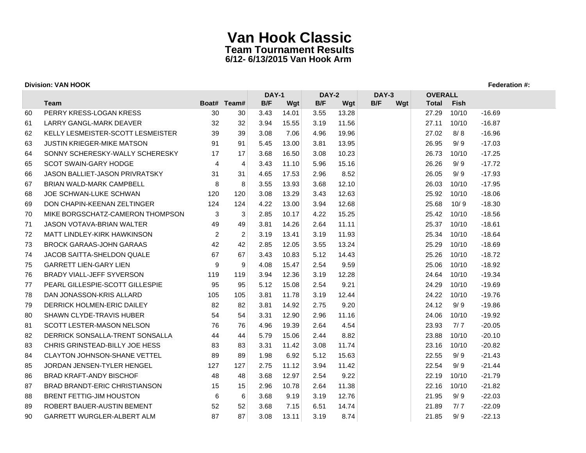### **Division: VAN HOOK Federation #:**

|    |                                       |                |                | <b>DAY-1</b> |       | DAY-2 |       | DAY-3      | <b>OVERALL</b> |             |          |
|----|---------------------------------------|----------------|----------------|--------------|-------|-------|-------|------------|----------------|-------------|----------|
|    | Team                                  |                | Boat# Team#    | B/F          | Wgt   | B/F   | Wgt   | B/F<br>Wgt | <b>Total</b>   | <b>Fish</b> |          |
| 60 | PERRY KRESS-LOGAN KRESS               | 30             | 30             | 3.43         | 14.01 | 3.55  | 13.28 |            | 27.29          | 10/10       | $-16.69$ |
| 61 | <b>LARRY GANGL-MARK DEAVER</b>        | 32             | 32             | 3.94         | 15.55 | 3.19  | 11.56 |            | 27.11          | 10/10       | $-16.87$ |
| 62 | KELLY LESMEISTER-SCOTT LESMEISTER     | 39             | 39             | 3.08         | 7.06  | 4.96  | 19.96 |            | 27.02          | 8/8         | $-16.96$ |
| 63 | <b>JUSTIN KRIEGER-MIKE MATSON</b>     | 91             | 91             | 5.45         | 13.00 | 3.81  | 13.95 |            | 26.95          | 9/9         | $-17.03$ |
| 64 | SONNY SCHERESKY-WALLY SCHERESKY       | 17             | 17             | 3.68         | 16.50 | 3.08  | 10.23 |            | 26.73          | 10/10       | $-17.25$ |
| 65 | <b>SCOT SWAIN-GARY HODGE</b>          | $\overline{4}$ | $\overline{4}$ | 3.43         | 11.10 | 5.96  | 15.16 |            | 26.26          | 9/9         | $-17.72$ |
| 66 | <b>JASON BALLIET-JASON PRIVRATSKY</b> | 31             | 31             | 4.65         | 17.53 | 2.96  | 8.52  |            | 26.05          | 9/9         | $-17.93$ |
| 67 | <b>BRIAN WALD-MARK CAMPBELL</b>       | 8              | 8              | 3.55         | 13.93 | 3.68  | 12.10 |            | 26.03          | 10/10       | $-17.95$ |
| 68 | <b>JOE SCHWAN-LUKE SCHWAN</b>         | 120            | 120            | 3.08         | 13.29 | 3.43  | 12.63 |            | 25.92          | 10/10       | $-18.06$ |
| 69 | DON CHAPIN-KEENAN ZELTINGER           | 124            | 124            | 4.22         | 13.00 | 3.94  | 12.68 |            | 25.68          | 10/9        | $-18.30$ |
| 70 | MIKE BORGSCHATZ-CAMERON THOMPSON      | 3              | 3              | 2.85         | 10.17 | 4.22  | 15.25 |            | 25.42          | 10/10       | $-18.56$ |
| 71 | <b>JASON VOTAVA-BRIAN WALTER</b>      | 49             | 49             | 3.81         | 14.26 | 2.64  | 11.11 |            | 25.37          | 10/10       | $-18.61$ |
| 72 | MATT LINDLEY-KIRK HAWKINSON           | 2              | 2              | 3.19         | 13.41 | 3.19  | 11.93 |            | 25.34          | 10/10       | $-18.64$ |
| 73 | <b>BROCK GARAAS-JOHN GARAAS</b>       | 42             | 42             | 2.85         | 12.05 | 3.55  | 13.24 |            | 25.29          | 10/10       | $-18.69$ |
| 74 | <b>JACOB SAITTA-SHELDON QUALE</b>     | 67             | 67             | 3.43         | 10.83 | 5.12  | 14.43 |            | 25.26          | 10/10       | $-18.72$ |
| 75 | <b>GARRETT LIEN-GARY LIEN</b>         | 9              | 9              | 4.08         | 15.47 | 2.54  | 9.59  |            | 25.06          | 10/10       | $-18.92$ |
| 76 | <b>BRADY VIALL-JEFF SYVERSON</b>      | 119            | 119            | 3.94         | 12.36 | 3.19  | 12.28 |            | 24.64          | 10/10       | $-19.34$ |
| 77 | PEARL GILLESPIE-SCOTT GILLESPIE       | 95             | 95             | 5.12         | 15.08 | 2.54  | 9.21  |            | 24.29          | 10/10       | $-19.69$ |
| 78 | DAN JONASSON-KRIS ALLARD              | 105            | 105            | 3.81         | 11.78 | 3.19  | 12.44 |            | 24.22          | 10/10       | $-19.76$ |
| 79 | DERRICK HOLMEN-ERIC DAILEY            | 82             | 82             | 3.81         | 14.92 | 2.75  | 9.20  |            | 24.12          | 9/9         | $-19.86$ |
| 80 | SHAWN CLYDE-TRAVIS HUBER              | 54             | 54             | 3.31         | 12.90 | 2.96  | 11.16 |            | 24.06          | 10/10       | $-19.92$ |
| 81 | <b>SCOTT LESTER-MASON NELSON</b>      | 76             | 76             | 4.96         | 19.39 | 2.64  | 4.54  |            | 23.93          | 7/7         | $-20.05$ |
| 82 | DERRICK SONSALLA-TRENT SONSALLA       | 44             | 44             | 5.79         | 15.06 | 2.44  | 8.82  |            | 23.88          | 10/10       | $-20.10$ |
| 83 | CHRIS GRINSTEAD-BILLY JOE HESS        | 83             | 83             | 3.31         | 11.42 | 3.08  | 11.74 |            | 23.16          | 10/10       | $-20.82$ |
| 84 | <b>CLAYTON JOHNSON-SHANE VETTEL</b>   | 89             | 89             | 1.98         | 6.92  | 5.12  | 15.63 |            | 22.55          | 9/9         | $-21.43$ |
| 85 | JORDAN JENSEN-TYLER HENGEL            | 127            | 127            | 2.75         | 11.12 | 3.94  | 11.42 |            | 22.54          | 9/9         | $-21.44$ |
| 86 | <b>BRAD KRAFT-ANDY BISCHOF</b>        | 48             | 48             | 3.68         | 12.97 | 2.54  | 9.22  |            | 22.19          | 10/10       | $-21.79$ |
| 87 | BRAD BRANDT-ERIC CHRISTIANSON         | 15             | 15             | 2.96         | 10.78 | 2.64  | 11.38 |            | 22.16          | 10/10       | $-21.82$ |
| 88 | <b>BRENT FETTIG-JIM HOUSTON</b>       | 6              | 6              | 3.68         | 9.19  | 3.19  | 12.76 |            | 21.95          | 9/9         | $-22.03$ |
| 89 | ROBERT BAUER-AUSTIN BEMENT            | 52             | 52             | 3.68         | 7.15  | 6.51  | 14.74 |            | 21.89          | 7/7         | $-22.09$ |
| 90 | <b>GARRETT WURGLER-ALBERT ALM</b>     | 87             | 87             | 3.08         | 13.11 | 3.19  | 8.74  |            | 21.85          | 9/9         | $-22.13$ |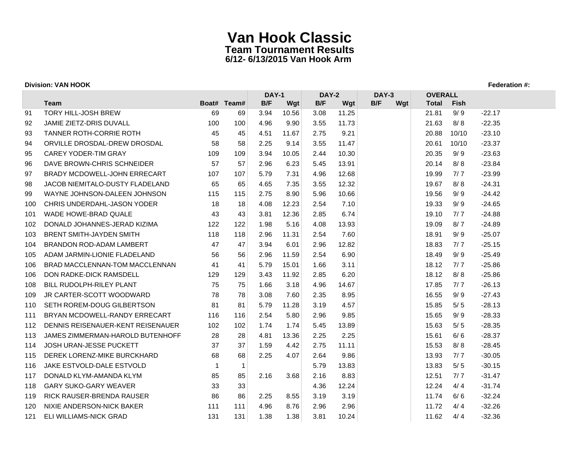| <b>Division: VAN HOOK</b> |                                   |              |             |              |       |                              |       |     |     |                |       |          |
|---------------------------|-----------------------------------|--------------|-------------|--------------|-------|------------------------------|-------|-----|-----|----------------|-------|----------|
|                           |                                   |              |             | <b>DAY-1</b> |       | <b>DAY-2</b><br><b>DAY-3</b> |       |     |     | <b>OVERALL</b> |       |          |
|                           | Team                              |              | Boat# Team# | B/F          | Wgt   | B/F                          | Wgt   | B/F | Wgt | <b>Total</b>   | Fish  |          |
| 91                        | <b>TORY HILL-JOSH BREW</b>        | 69           | 69          | 3.94         | 10.56 | 3.08                         | 11.25 |     |     | 21.81          | 9/9   | $-22.17$ |
| 92                        | JAMIE ZIETZ-DRIS DUVALL           | 100          | 100         | 4.96         | 9.90  | 3.55                         | 11.73 |     |     | 21.63          | 8/8   | $-22.35$ |
| 93                        | TANNER ROTH-CORRIE ROTH           | 45           | 45          | 4.51         | 11.67 | 2.75                         | 9.21  |     |     | 20.88          | 10/10 | $-23.10$ |
| 94                        | ORVILLE DROSDAL-DREW DROSDAL      | 58           | 58          | 2.25         | 9.14  | 3.55                         | 11.47 |     |     | 20.61          | 10/10 | $-23.37$ |
| 95                        | <b>CAREY YODER-TIM GRAY</b>       | 109          | 109         | 3.94         | 10.05 | 2.44                         | 10.30 |     |     | 20.35          | 9/9   | $-23.63$ |
| 96                        | DAVE BROWN-CHRIS SCHNEIDER        | 57           | 57          | 2.96         | 6.23  | 5.45                         | 13.91 |     |     | 20.14          | 8/8   | $-23.84$ |
| 97                        | BRADY MCDOWELL-JOHN ERRECART      | 107          | 107         | 5.79         | 7.31  | 4.96                         | 12.68 |     |     | 19.99          | 7/7   | $-23.99$ |
| 98                        | JACOB NIEMITALO-DUSTY FLADELAND   | 65           | 65          | 4.65         | 7.35  | 3.55                         | 12.32 |     |     | 19.67          | 8/8   | $-24.31$ |
| 99                        | WAYNE JOHNSON-DALEEN JOHNSON      | 115          | 115         | 2.75         | 8.90  | 5.96                         | 10.66 |     |     | 19.56          | 9/9   | $-24.42$ |
| 100                       | CHRIS UNDERDAHL-JASON YODER       | 18           | 18          | 4.08         | 12.23 | 2.54                         | 7.10  |     |     | 19.33          | 9/9   | $-24.65$ |
| 101                       | WADE HOWE-BRAD QUALE              | 43           | 43          | 3.81         | 12.36 | 2.85                         | 6.74  |     |     | 19.10          | 7/7   | $-24.88$ |
| 102                       | DONALD JOHANNES-JERAD KIZIMA      | 122          | 122         | 1.98         | 5.16  | 4.08                         | 13.93 |     |     | 19.09          | 8/7   | $-24.89$ |
| 103                       | BRENT SMITH-JAYDEN SMITH          | 118          | 118         | 2.96         | 11.31 | 2.54                         | 7.60  |     |     | 18.91          | 9/9   | $-25.07$ |
| 104                       | BRANDON ROD-ADAM LAMBERT          | 47           | 47          | 3.94         | 6.01  | 2.96                         | 12.82 |     |     | 18.83          | 7/7   | $-25.15$ |
| 105                       | ADAM JARMIN-LIONIE FLADELAND      | 56           | 56          | 2.96         | 11.59 | 2.54                         | 6.90  |     |     | 18.49          | 9/9   | $-25.49$ |
| 106                       | BRAD MACCLENNAN-TOM MACCLENNAN    | 41           | 41          | 5.79         | 15.01 | 1.66                         | 3.11  |     |     | 18.12          | 7/7   | $-25.86$ |
| 106                       | DON RADKE-DICK RAMSDELL           | 129          | 129         | 3.43         | 11.92 | 2.85                         | 6.20  |     |     | 18.12          | 8/8   | $-25.86$ |
| 108                       | <b>BILL RUDOLPH-RILEY PLANT</b>   | 75           | 75          | 1.66         | 3.18  | 4.96                         | 14.67 |     |     | 17.85          | 7/7   | $-26.13$ |
| 109                       | <b>JR CARTER-SCOTT WOODWARD</b>   | 78           | 78          | 3.08         | 7.60  | 2.35                         | 8.95  |     |     | 16.55          | 9/9   | $-27.43$ |
| 110                       | SETH ROREM-DOUG GILBERTSON        | 81           | 81          | 5.79         | 11.28 | 3.19                         | 4.57  |     |     | 15.85          | 5/5   | $-28.13$ |
| 111                       | BRYAN MCDOWELL-RANDY ERRECART     | 116          | 116         | 2.54         | 5.80  | 2.96                         | 9.85  |     |     | 15.65          | 9/9   | $-28.33$ |
| 112                       | DENNIS REISENAUER-KENT REISENAUER | 102          | 102         | 1.74         | 1.74  | 5.45                         | 13.89 |     |     | 15.63          | 5/5   | $-28.35$ |
| 113                       | JAMES ZIMMERMAN-HAROLD BUTENHOFF  | 28           | 28          | 4.81         | 13.36 | 2.25                         | 2.25  |     |     | 15.61          | 6/6   | $-28.37$ |
| 114                       | JOSH URAN-JESSE PUCKETT           | 37           | 37          | 1.59         | 4.42  | 2.75                         | 11.11 |     |     | 15.53          | 8/8   | $-28.45$ |
| 115                       | DEREK LORENZ-MIKE BURCKHARD       | 68           | 68          | 2.25         | 4.07  | 2.64                         | 9.86  |     |     | 13.93          | 7/7   | $-30.05$ |
| 116                       | <b>JAKE ESTVOLD-DALE ESTVOLD</b>  | $\mathbf{1}$ | 1           |              |       | 5.79                         | 13.83 |     |     | 13.83          | 5/5   | $-30.15$ |
| 117                       | DONALD KLYM-AMANDA KLYM           | 85           | 85          | 2.16         | 3.68  | 2.16                         | 8.83  |     |     | 12.51          | 7/7   | $-31.47$ |
| 118                       | <b>GARY SUKO-GARY WEAVER</b>      | 33           | 33          |              |       | 4.36                         | 12.24 |     |     | 12.24          | 4/4   | -31.74   |
| 119                       | <b>RICK RAUSER-BRENDA RAUSER</b>  | 86           | 86          | 2.25         | 8.55  | 3.19                         | 3.19  |     |     | 11.74          | 6/6   | $-32.24$ |
| 120                       | NIXIE ANDERSON-NICK BAKER         | 111          | 111         | 4.96         | 8.76  | 2.96                         | 2.96  |     |     | 11.72          | 4/4   | $-32.26$ |
| 121                       | <b>ELI WILLIAMS-NICK GRAD</b>     | 131          | 131         | 1.38         | 1.38  | 3.81                         | 10.24 |     |     | 11.62          | 4/4   | $-32.36$ |